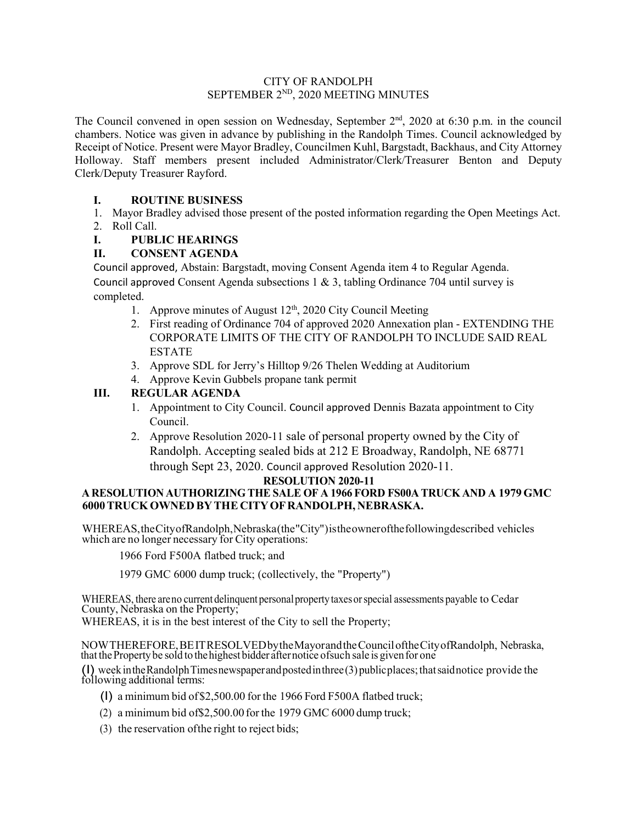#### CITY OF RANDOLPH SEPTEMBER 2<sup>ND</sup>, 2020 MEETING MINUTES

The Council convened in open session on Wednesday, September 2<sup>nd</sup>, 2020 at 6:30 p.m. in the council chambers. Notice was given in advance by publishing in the Randolph Times. Council acknowledged by Receipt of Notice. Present were Mayor Bradley, Councilmen Kuhl, Bargstadt, Backhaus, and City Attorney Holloway. Staff members present included Administrator/Clerk/Treasurer Benton and Deputy Clerk/Deputy Treasurer Rayford.

## **I. ROUTINE BUSINESS**

1. Mayor Bradley advised those present of the posted information regarding the Open Meetings Act. 2. Roll Call.

**I. PUBLIC HEARINGS**

# **II. CONSENT AGENDA**

Council approved, Abstain: Bargstadt, moving Consent Agenda item 4 to Regular Agenda. Council approved Consent Agenda subsections  $1 \& 3$ , tabling Ordinance 704 until survey is completed.

- 1. Approve minutes of August  $12<sup>th</sup>$ , 2020 City Council Meeting
- 2. First reading of Ordinance 704 of approved 2020 Annexation plan EXTENDING THE CORPORATE LIMITS OF THE CITY OF RANDOLPH TO INCLUDE SAID REAL ESTATE
- 3. Approve SDL for Jerry's Hilltop 9/26 Thelen Wedding at Auditorium
- 4. Approve Kevin Gubbels propane tank permit

# **III. REGULAR AGENDA**

- 1. Appointment to City Council. Council approved Dennis Bazata appointment to City Council.
- 2. Approve Resolution 2020-11 sale of personal property owned by the City of Randolph. Accepting sealed bids at 212 E Broadway, Randolph, NE 68771 through Sept 23, 2020. Council approved Resolution 2020-11.

## **RESOLUTION 2020-11**

#### **A RESOLUTION AUTHORIZING THE SALE OF A 1966 FORD FS00A TRUCK AND A 1979 GMC 6000TRUCK OWNED BYTHE CITYOFRANDOLPH, NEBRASKA.**

WHEREAS,theCityofRandolph,Nebraska(the"City")istheownerofthefollowingdescribed vehicles which are no longer necessary for City operations:

1966 Ford F500A flatbed truck; and

1979 GMC 6000 dump truck; (collectively, the "Property")

WHEREAS, there are no current delinquent personal property taxes or special assessments payable to Cedar County, Nebraska on the Property;

WHEREAS, it is in the best interest of the City to sell the Property;

NOWTHEREFORE,BEITRESOLVEDbytheMayorandtheCounciloftheCityofRandolph, Nebraska, that the Property be sold to the highest bidder after notice of such sale is given for one

(I) weekintheRandolphTimesnewspaperandpostedinthree(3)publicplaces;thatsaidnotice provide the following additional terms:

- (I) a minimum bid of\$2,500.00 for the 1966 Ford F500A flatbed truck;
- (2) a minimum bid of\$2,500.00 for the 1979 GMC 6000 dump truck;
- (3) the reservation ofthe right to reject bids;